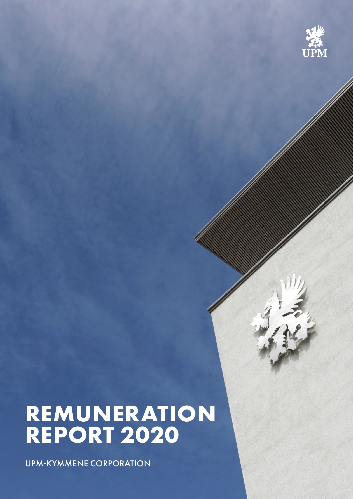

# **REMUNERATION REPORT 2020**

UPM-KYMMENE CORPORATION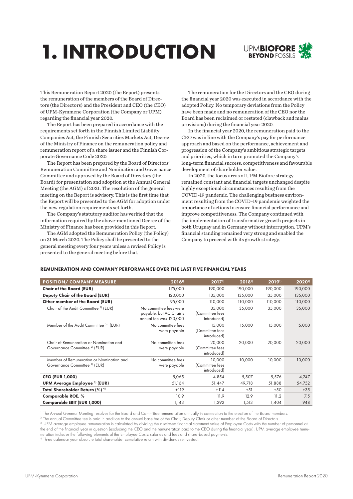# **1. INTRODUCTION**



This Remuneration Report 2020 (the Report) presents the remuneration of the members of the Board of Directors (the Directors) and the President and CEO (the CEO) of UPM-Kymmene Corporation (the Company or UPM) regarding the financial year 2020.

The Report has been prepared in accordance with the requirements set forth in the Finnish Limited Liability Companies Act, the Finnish Securities Markets Act, Decree of the Ministry of Finance on the remuneration policy and remuneration report of a share issuer and the Finnish Corporate Governance Code 2020.

The Report has been prepared by the Board of Directors' Remuneration Committee and Nomination and Governance Committee and approved by the Board of Directors (the Board) for presentation and adoption at the Annual General Meeting (the AGM) of 2021. The resolution of the general meeting on the Report is advisory. This is the first time that the Report will be presented to the AGM for adoption under the new regulation requirements set forth.

The Company's statutory auditor has verified that the information required by the above-mentioned Decree of the Ministry of Finance has been provided in this Report.

The AGM adopted the Remuneration Policy (the Policy) on 31 March 2020. The Policy shall be presented to the general meeting every four years unless a revised Policy is presented to the general meeting before that.

The remuneration for the Directors and the CEO during the financial year 2020 was executed in accordance with the adopted Policy. No temporary deviations from the Policy have been made and no remuneration of the CEO nor the Board has been reclaimed or restated (clawback and malus provisions) during the financial year 2020.

In the financial year 2020, the remuneration paid to the CEO was in line with the Company's pay for performance approach and based on the performance, achievement and progression of the Company's ambitious strategic targets and priorities, which in turn promoted the Company's long-term financial success, competitiveness and favourable development of shareholder value.

In 2020, the focus areas of UPM Biofore strategy remained constant and financial targets unchanged despite highly exceptional circumstances resulting from the COVID-19 pandemic. The challenging business environment resulting from the COVID-19 pandemic weighted the importance of actions to ensure financial performance and improve competitiveness. The Company continued with the implementation of transformative growth projects in both Uruguay and in Germany without interruption. UPM's financial standing remained very strong and enabled the Company to proceed with its growth strategy.

#### REMUNERATION AND COMPANY PERFORMANCE OVER THE LAST FIVE FINANCIAL YEARS

| $2016$ <sup>1)</sup>                                                        | $2017$ <sup>1)</sup>                     | $2018^{1}$ | $2019$ <sup>1)</sup> | $2020^{11}$ |
|-----------------------------------------------------------------------------|------------------------------------------|------------|----------------------|-------------|
| 175,000                                                                     | 190,000                                  | 190,000    | 190,000              | 190,000     |
| 120,000                                                                     | 135,000                                  | 135,000    | 135,000              | 135,000     |
| 95,000                                                                      | 110,000                                  | 110,000    | 110,000              | 110,000     |
| No committee fees were<br>payable, but AC Chair's<br>annual fee was 120,000 | 35,000<br>(Committee fees<br>introduced) | 35,000     | 35,000               | 35,000      |
| No committee fees<br>were payable                                           | 15,000<br>(Committee fees<br>introduced) | 15,000     | 15,000               | 15,000      |
| No committee fees<br>were payable                                           | 20,000<br>(Committee fees<br>introduced) | 20,000     | 20,000               | 20,000      |
| No committee fees<br>were payable                                           | 10,000<br>(Committee fees<br>introduced) | 10,000     | 10.000               | 10,000      |
| 5,065                                                                       | 4,854                                    | 5,507      | 5,576                | 4,747       |
| 51,164                                                                      | 51,447                                   | 49,718     | 51,888               | 54,752      |
| $+119$                                                                      | $+114$                                   | $+51$      | $+50$                | $+35$       |
| 10.9                                                                        | 11.9                                     | 12.9       | 11.2                 | 7.5         |
| 1.143                                                                       | 1,292                                    | 1,513      | 1,404                | 948         |
|                                                                             |                                          |            |                      |             |

<sup>1)</sup> The Annual General Meeting resolves for the Board and Committee remuneration annually in connection to the election of the Board members.

2) The annual Committee fee is paid in addition to the annual base fee of the Chair, Deputy Chair or other member of the Board of Directors.

3) UPM average employee remuneration is calculated by dividing the disclosed financial statement value of Employee Costs with the number of personnel at the end of the financial year in question (excluding the CEO and the remuneration paid to the CEO during the financial year). UPM average employee remuneration includes the following elements of the Employee Costs: salaries and fees and share-based payments.

4) Three calendar year absolute total shareholder cumulative return with dividends reinvested.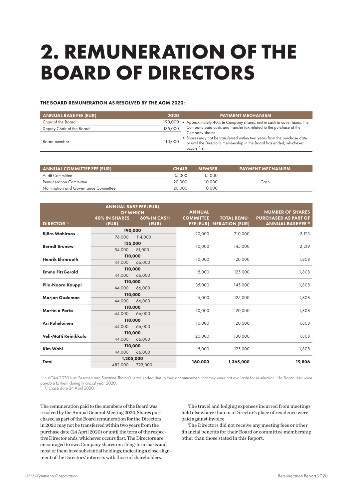## **2. REMUNERATION OF THE BOARD OF DIRECTORS**

#### THE BOARD REMUNERATION AS RESOLVED BY THE AGM 2020:

| <b>ANNUAL BASE FEE (EUR)</b> | 2020    | <b>PAYMENT MECHANISM</b>                                                                                                                                                            |
|------------------------------|---------|-------------------------------------------------------------------------------------------------------------------------------------------------------------------------------------|
| Chair of the Board           |         | 190,000 • Approximately 40% in Company shares, rest in cash to cover taxes. The                                                                                                     |
| Deputy Chair of the Board    | 135,000 | Company paid costs and transfer tax related to the purchase of the                                                                                                                  |
| Board member                 | 110,000 | Company shares.<br>• Shares may not be transferred within two years from the purchase date<br>or until the Director's membership in the Board has ended, whichever<br>occurs first. |

| <b>ANNUAL COMMITTEE FEE (EUR)</b>   | <b>CHAIR</b> | <b>MEMBER</b> | <b>PAYMENT MECHANISM</b> |
|-------------------------------------|--------------|---------------|--------------------------|
| <b>Audit Committee</b>              | 35,000       | 15,000        |                          |
| <b>Remuneration Committee</b>       | 20,000       | 10.000        | Cash                     |
| Nomination and Governance Committee | 20,000       | 10,000        |                          |

| <b>DIRECTOR 1)</b>      | <b>ANNUAL BASE FEE (EUR)</b><br><b>OF WHICH</b><br><b>40% IN SHARES</b><br>(EUR) | 60% IN CASH<br>(EUR) | <b>ANNUAL</b><br><b>COMMITTEE</b> | <b>TOTAL REMU-</b><br><b>FEE (EUR) NERATION (EUR)</b> | <b>NUMBER OF SHARES</b><br><b>PURCHASED AS PART OF</b><br><b>ANNUAL BASE FEE 2)</b> |  |
|-------------------------|----------------------------------------------------------------------------------|----------------------|-----------------------------------|-------------------------------------------------------|-------------------------------------------------------------------------------------|--|
| <b>Björn Wahlroos</b>   | 190,000                                                                          |                      | 20,000                            | 210,000                                               | 3,123                                                                               |  |
|                         | 76,000                                                                           | 114,000              |                                   |                                                       |                                                                                     |  |
| <b>Berndt Brunow</b>    | 135,000                                                                          |                      | 10,000                            | 145,000                                               | 2,219                                                                               |  |
|                         | 54,000                                                                           | 81,000               |                                   |                                                       |                                                                                     |  |
| <b>Henrik Ehrnrooth</b> | 110,000                                                                          |                      | 10,000                            | 120,000                                               | 1,808                                                                               |  |
|                         | 44.000                                                                           | 66,000               |                                   |                                                       |                                                                                     |  |
| <b>Emma FitzGerald</b>  | 110,000                                                                          |                      |                                   | 125,000                                               | 1,808                                                                               |  |
|                         | 44.000                                                                           | 66,000               | 15,000                            |                                                       |                                                                                     |  |
|                         | 110,000                                                                          |                      |                                   | 145,000                                               | 1,808                                                                               |  |
| Piia-Noora Kauppi       | 44.000                                                                           | 66,000               | 35,000                            |                                                       |                                                                                     |  |
| Marjan Oudeman          | 110,000                                                                          |                      |                                   | 125,000                                               | 1,808                                                                               |  |
|                         | 44,000                                                                           | 66,000               | 15,000                            |                                                       |                                                                                     |  |
| Martin á Porta          | 110,000                                                                          |                      | 10,000                            | 120,000                                               | 1,808                                                                               |  |
|                         | 44,000                                                                           | 66,000               |                                   |                                                       |                                                                                     |  |
| Ari Puheloinen          | 110,000                                                                          |                      |                                   | 120,000                                               |                                                                                     |  |
|                         | 44.000                                                                           | 66,000               | 10,000                            |                                                       | 1,808                                                                               |  |
|                         | 110,000                                                                          |                      |                                   |                                                       |                                                                                     |  |
| Veli-Matti Reinikkala   | 44,000                                                                           | 66,000               | 20,000                            | 130,000                                               | 1,808                                                                               |  |
| <b>Kim Wahl</b>         | 110,000                                                                          |                      |                                   |                                                       |                                                                                     |  |
|                         | 44.000                                                                           | 66,000               | 15,000                            | 125,000                                               | 1,808                                                                               |  |
|                         | 1,205,000                                                                        |                      |                                   |                                                       |                                                                                     |  |
| Total                   | 482,000                                                                          | 723,000              | 160,000                           | 1,365,000                                             | 19,806                                                                              |  |

1) In AGM 2020 Jussi Pesonen and Suzanne Thoma's terms ended due to their announcement that they were not available for re-election. No Board fees were payable to them during financial year 2020.

2) Purchase date 24 April 2020.

The remuneration paid to the members of the Board was resolved by the Annual General Meeting 2020. Shares purchased as part of the Board remuneration for the Directors in 2020 may not be transferred within two years from the purchase date (24 April 2020) or until the term of the respective Director ends, whichever occurs first. The Directors are encouraged to own Company shares on a long-term basis and most of them have substantial holdings, indicating a close alignment of the Directors' interests with those of shareholders.

The travel and lodging expenses incurred from meetings held elsewhere than in a Director's place of residence were paid against invoice.

The Directors did not receive any meeting fees or other financial benefits for their Board or committee membership other than those stated in this Report.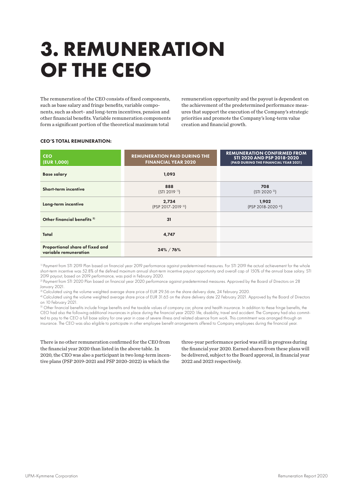## **3. REMUNERATION OF THE CEO**

The remuneration of the CEO consists of fixed components, such as base salary and fringe benefits, variable components, such as short- and long-term incentives, pension and other financial benefits. Variable remuneration components form a significant portion of the theoretical maximum total

remuneration opportunity and the payout is dependent on the achievement of the predetermined performance measures that support the execution of the Company's strategic priorities and promote the Company's long-term value creation and financial growth.

| <b>CEO</b><br>(EUR 1,000)                                | <b>REMUNERATION PAID DURING THE</b><br><b>FINANCIAL YEAR 2020</b> | <b>REMUNERATION CONFIRMED FROM</b><br>STI 2020 AND PSP 2018-2020<br>(PAID DURING THE FINANCIAL YEAR 2021) |
|----------------------------------------------------------|-------------------------------------------------------------------|-----------------------------------------------------------------------------------------------------------|
| <b>Base salary</b>                                       | 1,093                                                             |                                                                                                           |
| Short-term incentive                                     | 888<br>$(STI 2019$ <sup>11</sup> )                                | 708<br>(STI 2020 <sup>2</sup> )                                                                           |
| Long-term incentive                                      | 2,734<br>(PSP 2017-2019 3)                                        | 1,902<br>(PSP 2018-2020 4)                                                                                |
| Other financial benefits <sup>5)</sup>                   | 31                                                                |                                                                                                           |
| Total                                                    | 4,747                                                             |                                                                                                           |
| Proportional share of fixed and<br>variable remuneration | 24% / 76%                                                         |                                                                                                           |

#### CEO'S TOTAL REMUNERATION:

<sup>1)</sup> Payment from STI 2019 Plan based on financial year 2019 performance against predetermined measures. For STI 2019 the actual achievement for the whole short-term incentive was 52.8% of the defined maximum annual short-term incentive payout opportunity and overall cap of 150% of the annual base salary. STI 2019 payout, based on 2019 performance, was paid in February 2020.

<sup>2)</sup> Payment from STI 2020 Plan based on financial year 2020 performance against predetermined measures. Approved by the Board of Directors on 28 January 2021.

<sup>3)</sup> Calculated using the volume weighted average share price of EUR 29.56 on the share delivery date, 24 February 2020.

4) Calculated using the volume weighted average share price of EUR 31.65 on the share delivery date 22 February 2021. Approved by the Board of Directors on 10 February 2021.

5) Other financial benefits include fringe benefits and the taxable values of company car, phone and health insurance. In addition to these fringe benefits, the CEO had also the following additional insurances in place during the financial year 2020: life, disability, travel and accident. The Company had also committed to pay to the CEO a full base salary for one year in case of severe illness and related absence from work. This commitment was arranged through an insurance. The CEO was also eligible to participate in other employee benefit arrangements offered to Company employees during the financial year.

There is no other remuneration confirmed for the CEO from the financial year 2020 than listed in the above table. In 2020, the CEO was also a participant in two long-term incentive plans (PSP 2019-2021 and PSP 2020-2022) in which the

three-year performance period was still in progress during the financial year 2020. Earned shares from these plans will be delivered, subject to the Board approval, in financial year 2022 and 2023 respectively.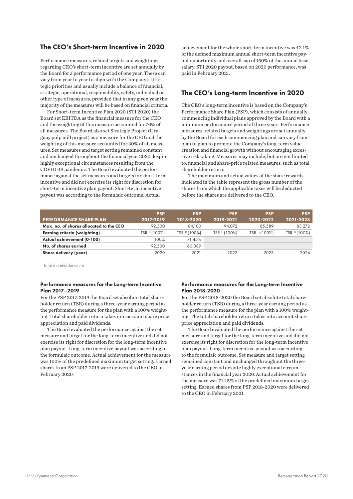### The CEO's Short-term Incentive in 2020

Performance measures, related targets and weightings regarding CEO's short-term incentive are set annually by the Board for a performance period of one year. These can vary from year to year to align with the Company's strategic priorities and usually include a balance of financial, strategic, operational, responsibility, safety, individual or other type of measures, provided that in any given year the majority of the measures will be based on financial criteria.

For Short-term Incentive Plan 2020 (STI 2020) the Board set EBITDA as the financial measure for the CEO and the weighting of this measure accounted for 70% of all measures. The Board also set Strategic Project (Uruguay pulp mill project) as a measure for the CEO and the weighting of this measure accounted for 30% of all measures. Set measures and target setting remained constant and unchanged throughout the financial year 2020 despite highly exceptional circumstances resulting from the COVID-19 pandemic. The Board evaluated the performance against the set measures and targets for short-term incentive and did not exercise its right for discretion for short-term incentive plan payout. Short-term incentive payout was according to the formulaic outcome. Actual

achievement for the whole short-term incentive was 42.1% of the defined maximum annual short-term incentive payout opportunity and overall cap of 150% of the annual base salary. STI 2020 payout, based on 2020 performance, was paid in February 2021.

### The CEO's Long-term Incentive in 2020

The CEO's long-term incentive is based on the Company's Performance Share Plan (PSP), which consists of annually commencing individual plans approved by the Board with a minimum performance period of three years. Performance measures, related targets and weightings are set annually by the Board for each commencing plan and can vary from plan to plan to promote the Company's long-term value creation and financial growth without encouraging excessive risk taking. Measures may include, but are not limited to, financial and share-price related measures, such as total shareholder return.

The maximum and actual values of the share rewards indicated in the table represent the gross number of the shares from which the applicable taxes will be deducted before the shares are delivered to the CEO.

|                                         | <b>PSP</b>    | <b>PSP</b>               | <b>PSP</b>               | <b>PSP</b>   | <b>PSP</b>               |
|-----------------------------------------|---------------|--------------------------|--------------------------|--------------|--------------------------|
| <b>PERFORMANCE SHARE PLAN</b>           | 2017-2019     | 2018-2020                | 2019-2021                | 2020-2022    | 2021-2023                |
| Max, no, of shares allocated to the CEO | 92.500        | 84,100                   | 94.072                   | 85.589       | 83,272                   |
| <b>Earning criteria (weighting)</b>     | TSR 11 (100%) | TSR <sup>11</sup> (100%) | TSR <sup>1)</sup> (100%) | TSR 11(100%) | TSR <sup>11</sup> (100%) |
| Actual achievement (0-100)              | 100%          | 71.45%                   |                          |              |                          |
| No. of shares earned                    | 92.500        | 60.089                   |                          |              |                          |
| Share delivery (year)                   | 2020          | 2021                     | 2022                     | 2023         | 2024                     |

1) Total shareholder return

#### Performance measures for the Long-term Incentive Plan 2017–2019

For the PSP 2017-2019 the Board set absolute total shareholder return (TSR) during a three-year earning period as the performance measure for the plan with a 100% weighting. Total shareholder return takes into account share price appreciation and paid dividends.

The Board evaluated the performance against the set measure and target for the long-term incentive and did not exercise its right for discretion for the long-term incentive plan payout. Long-term incentive payout was according to the formulaic outcome. Actual achievement for the measure was 100% of the predefined maximum target setting. Earned shares from PSP 2017-2019 were delivered to the CEO in February 2020.

#### Performance measures for the Long-term Incentive Plan 2018-2020

For the PSP 2018-2020 the Board set absolute total shareholder return (TSR) during a three-year earning period as the performance measure for the plan with a 100% weighting. The total shareholder return takes into account share price appreciation and paid dividends.

The Board evaluated the performance against the set measure and target for the long-term incentive and did not exercise its right for discretion for the long-term incentive plan payout. Long-term incentive payout was according to the formulaic outcome. Set measure and target setting remained constant and unchanged throughout the threeyear earning period despite highly exceptional circumstances in the financial year 2020. Actual achievement for the measure was 71.45% of the predefined maximum target setting. Earned shares from PSP 2018-2020 were delivered to the CEO in February 2021.